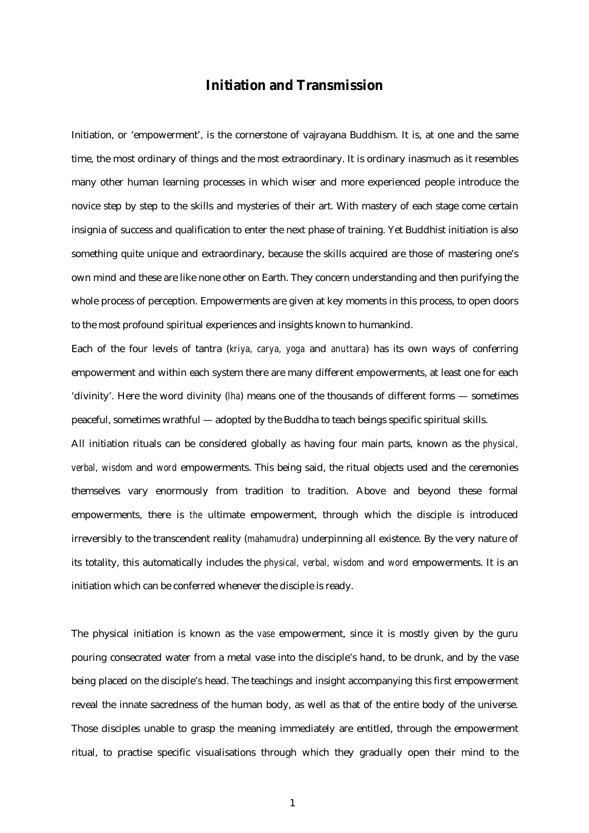## **Initiation and Transmission**

Initiation, or 'empowerment', is the cornerstone of vajrayana Buddhism. It is, at one and the same time, the most ordinary of things and the most extraordinary. It is ordinary inasmuch as it resembles many other human learning processes in which wiser and more experienced people introduce the novice step by step to the skills and mysteries of their art. With mastery of each stage come certain insignia of success and qualification to enter the next phase of training. Yet Buddhist initiation is also something quite unique and extraordinary, because the skills acquired are those of mastering one's own mind and these are like none other on Earth. They concern understanding and then purifying the whole process of perception. Empowerments are given at key moments in this process, to open doors to the most profound spiritual experiences and insights known to humankind.

Each of the four levels of tantra (*kriya, carya, yoga* and *anuttara*) has its own ways of conferring empowerment and within each system there are many different empowerments, at least one for each 'divinity'. Here the word divinity (*lha*) means one of the thousands of different forms — sometimes peaceful, sometimes wrathful — adopted by the Buddha to teach beings specific spiritual skills.

All initiation rituals can be considered globally as having four main parts, known as the *physical, verbal, wisdom* and *word* empowerments. This being said, the ritual objects used and the ceremonies themselves vary enormously from tradition to tradition. Above and beyond these formal empowerments, there is *the* ultimate empowerment, through which the disciple is introduced irreversibly to the transcendent reality (*mahamudra*) underpinning all existence. By the very nature of its totality, this automatically includes the *physical, verbal, wisdom* and *word* empowerments. It is an initiation which can be conferred whenever the disciple is ready.

The physical initiation is known as the *vase* empowerment, since it is mostly given by the guru pouring consecrated water from a metal vase into the disciple's hand, to be drunk, and by the vase being placed on the disciple's head. The teachings and insight accompanying this first empowerment reveal the innate sacredness of the human body, as well as that of the entire body of the universe. Those disciples unable to grasp the meaning immediately are entitled, through the empowerment ritual, to practise specific visualisations through which they gradually open their mind to the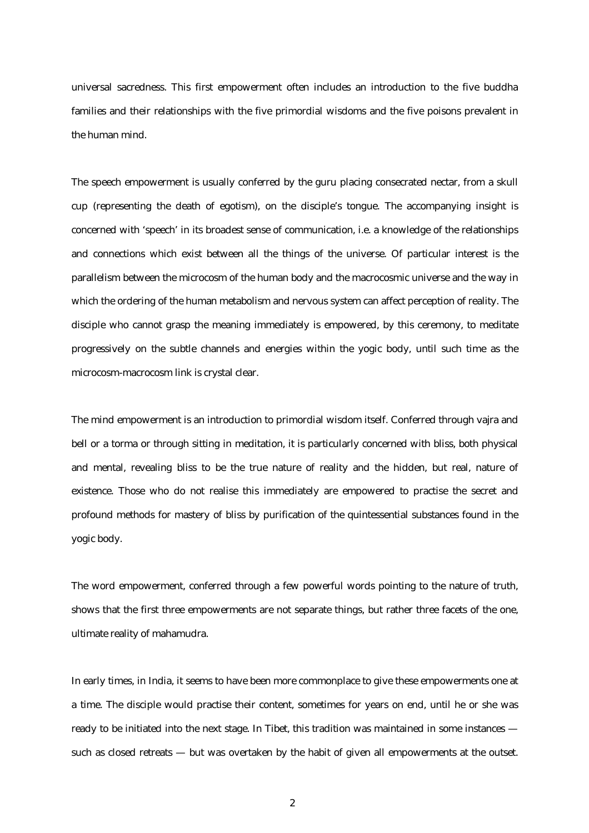universal sacredness. This first empowerment often includes an introduction to the five buddha families and their relationships with the five primordial wisdoms and the five poisons prevalent in the human mind.

The speech empowerment is usually conferred by the guru placing consecrated nectar, from a skull cup (representing the death of egotism), on the disciple's tongue. The accompanying insight is concerned with 'speech' in its broadest sense of communication, i.e. a knowledge of the relationships and connections which exist between all the things of the universe. Of particular interest is the parallelism between the microcosm of the human body and the macrocosmic universe and the way in which the ordering of the human metabolism and nervous system can affect perception of reality. The disciple who cannot grasp the meaning immediately is empowered, by this ceremony, to meditate progressively on the subtle channels and energies within the yogic body, until such time as the microcosm-macrocosm link is crystal clear.

The mind empowerment is an introduction to primordial wisdom itself. Conferred through vajra and bell or a torma or through sitting in meditation, it is particularly concerned with bliss, both physical and mental, revealing bliss to be the true nature of reality and the hidden, but real, nature of existence. Those who do not realise this immediately are empowered to practise the secret and profound methods for mastery of bliss by purification of the quintessential substances found in the yogic body.

The word empowerment, conferred through a few powerful words pointing to the nature of truth, shows that the first three empowerments are not separate things, but rather three facets of the one, ultimate reality of mahamudra.

In early times, in India, it seems to have been more commonplace to give these empowerments one at a time. The disciple would practise their content, sometimes for years on end, until he or she was ready to be initiated into the next stage. In Tibet, this tradition was maintained in some instances such as closed retreats — but was overtaken by the habit of given all empowerments at the outset.